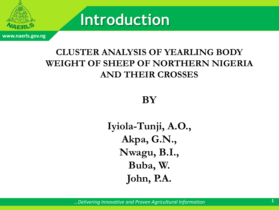

**www.naerls.gov.ng**

# **Introduction**

#### **CLUSTER ANALYSIS OF YEARLING BODY WEIGHT OF SHEEP OF NORTHERN NIGERIA AND THEIR CROSSES**

#### **BY**

**Iyiola-Tunji, A.O., Akpa, G.N., Nwagu, B.I., Buba, W. John, P.A.**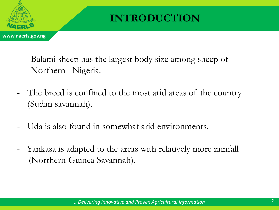

## **INTRODUCTION**

- Balami sheep has the largest body size among sheep of Northern Nigeria.
- The breed is confined to the most arid areas of the country (Sudan savannah).
- Uda is also found in somewhat arid environments.
- Yankasa is adapted to the areas with relatively more rainfall (Northern Guinea Savannah).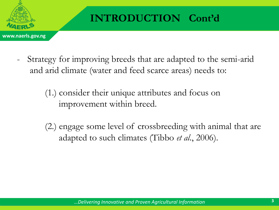

## **INTRODUCTION Cont'd**

- Strategy for improving breeds that are adapted to the semi-arid and arid climate (water and feed scarce areas) needs to:
	- (1.) consider their unique attributes and focus on improvement within breed.
	- (2.) engage some level of crossbreeding with animal that are adapted to such climates (Tibbo *et al*., 2006).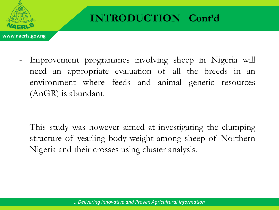

## **INTRODUCTION Cont'd**

Improvement programmes involving sheep in Nigeria will need an appropriate evaluation of all the breeds in an environment where feeds and animal genetic resources (AnGR) is abundant.

- This study was however aimed at investigating the clumping structure of yearling body weight among sheep of Northern Nigeria and their crosses using cluster analysis.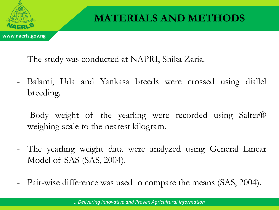

## **MATERIALS AND METHODS**

- The study was conducted at NAPRI, Shika Zaria.
- Balami, Uda and Yankasa breeds were crossed using diallel breeding.
- Body weight of the yearling were recorded using Salter® weighing scale to the nearest kilogram.
- The yearling weight data were analyzed using General Linear Model of SAS (SAS, 2004).
- Pair-wise difference was used to compare the means (SAS, 2004).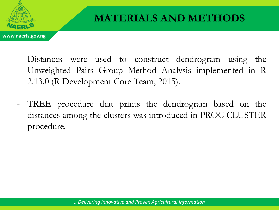

- Distances were used to construct dendrogram using the Unweighted Pairs Group Method Analysis implemented in R 2.13.0 (R Development Core Team, 2015).
- TREE procedure that prints the dendrogram based on the distances among the clusters was introduced in PROC CLUSTER procedure.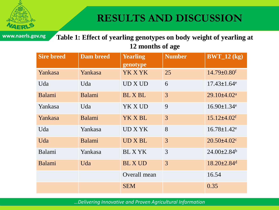

#### **RESULTS AND DISCUSSION**

**www.naerls.gov.ng**

**Table 1: Effect of yearling genotypes on body weight of yearling at 12 months of age**

| <b>Sire breed</b> | <b>Dam breed</b> | <b>Yearling</b><br>genotype | <b>Number</b> | $BWT_12(kg)$                  |
|-------------------|------------------|-----------------------------|---------------|-------------------------------|
| Yankasa           | Yankasa          | YK X YK                     | 25            | $14.79 \pm 0.80$ <sup>f</sup> |
| Uda               | Uda              | UD X UD                     | 6             | $17.43 \pm 1.64$ <sup>e</sup> |
| Balami            | Balami           | <b>BLX BL</b>               | 3             | $29.10\pm4.02^a$              |
| Yankasa           | Uda              | YK X UD                     | 9             | $16.90 \pm 1.34$ <sup>e</sup> |
| Yankasa           | Balami           | YK X BL                     | 3             | $15.12{\pm}4.02$ <sup>f</sup> |
| Uda               | Yankasa          | UD X YK                     | 8             | $16.78 \pm 1.42$ <sup>e</sup> |
| Uda               | Balami           | UD X BL                     | 3             | $20.50 \pm 4.02$              |
| Balami            | Yankasa          | <b>BLXYK</b>                | 3             | $24.00\pm2.84^b$              |
| Balami            | Uda              | <b>BLX UD</b>               | 3             | $18.20 \pm 2.84$ <sup>d</sup> |
|                   |                  | Overall mean                |               | 16.54                         |
|                   |                  | <b>SEM</b>                  |               | 0.35                          |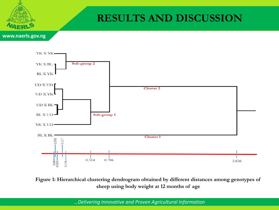

#### **RESULTS AND DISCUSSION**

**www.naerls.gov.ng**



**Figure 1: Hierarchical clustering dendrogram obtained by different distances among genotypes of sheep using body weight at 12 months of age**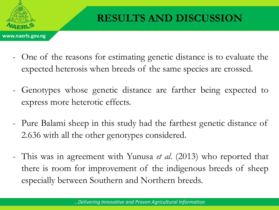

- One of the reasons for estimating genetic distance is to evaluate the expected heterosis when breeds of the same species are crossed.
- Genotypes whose genetic distance are farther being expected to express more heterotic effects.
- Pure Balami sheep in this study had the farthest genetic distance of 2.636 with all the other genotypes considered.
- This was in agreement with Yunusa *et al*. (2013) who reported that there is room for improvement of the indigenous breeds of sheep especially between Southern and Northern breeds.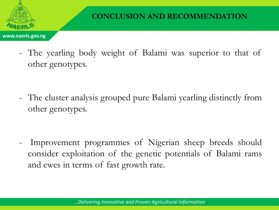

- The yearling body weight of Balami was superior to that of other genotypes.

- The cluster analysis grouped pure Balami yearling distinctly from other genotypes.

Improvement programmes of Nigerian sheep breeds should consider exploitation of the genetic potentials of Balami rams and ewes in terms of fast growth rate.